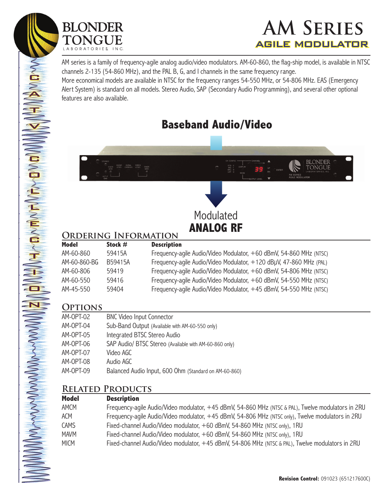

 $\sum_{i=1}^{n}$ 

**NAVIO** 

 $\tilde{\mathbf{A}}$ 

T

T<br>V

 $\overline{\mathbf{v}}$ 

 $\widetilde{\mathbf{E}}$ 

 $\sum_{i=1}^{\infty}$ 

**College Strate** 

 $\sum$ 

 $\sum_{i=1}^{n}$ 

 $\sum_{i=1}^{n}$ 

 $\sum_{i=1}^{n}$ 

 $\sum_{i=1}^{n}$ 

 $\sum_{i=1}^{n}$ 

 $\sum_{i=1}^n$ 

I

 $\mathbf{a}$ 

 $\overline{\mathbf{N}}$ 

MANANDONDO



AM series is a family of frequency-agile analog audio/video modulators. AM-60-860, the flag-ship model, is available in NTSC channels 2-135 (54-860 MHz), and the PAL B, G, and I channels in the same frequency range.

More economical models are available in NTSC for the frequency ranges 54-550 MHz, or 54-806 MHz. EAS (Emergency Alert System) is standard on all models. Stereo Audio, SAP (Secondary Audio Programming), and several other optional features are also available.

# **Baseband Audio/Video**



### **Ordering Information**

| model        | $5$ tock $\overline{H}$ | <b>Description</b>                                                 |
|--------------|-------------------------|--------------------------------------------------------------------|
| AM-60-860    | 59415A                  | Frequency-aqile Audio/Video Modulator, +60 dBmV, 54-860 MHz (NTSC) |
| AM-60-860-BG | B59415A                 | Frequency-agile Audio/Video Modulator, +120 dBµV, 47-860 MHz (PAL) |
| AM-60-806    | 59419                   | Frequency-aqile Audio/Video Modulator, +60 dBmV, 54-806 MHz (NTSC) |
| AM-60-550    | 59416                   | Frequency-aqile Audio/Video Modulator, +60 dBmV, 54-550 MHz (NTSC) |
| AM-45-550    | 59404                   | Frequency-agile Audio/Video Modulator, +45 dBmV, 54-550 MHz (NTSC) |
|              |                         |                                                                    |

## **Options**

| AM-OPT-02 | <b>BNC Video Input Connector</b>                       |
|-----------|--------------------------------------------------------|
| AM-OPT-04 | Sub-Band Output (Available with AM-60-550 only)        |
| AM-OPT-05 | Integrated BTSC Stereo Audio                           |
| AM-OPT-06 | SAP Audio/ BTSC Stereo (Available with AM-60-860 only) |
| AM-OPT-07 | Video AGC                                              |
| AM-OPT-08 | Audio AGC                                              |
| AM-OPT-09 | Balanced Audio Input, 600 Ohm (Standard on AM-60-860)  |

#### **Related Products**

| <b>Model</b> | <b>Description</b>                                                                                 |
|--------------|----------------------------------------------------------------------------------------------------|
| <b>AMCM</b>  | Frequency-agile Audio/Video modulator, +45 dBmV, 54-860 MHz (NTSC & PAL), Twelve modulators in 2RU |
| <b>ACM</b>   | Frequency-agile Audio/Video modulator, +45 dBmV, 54-806 MHz (NTSC only), Twelve modulators in 2RU  |
| <b>CAMS</b>  | Fixed-channel Audio/Video modulator, +60 dBmV, 54-860 MHz (NTSC only), 1RU                         |
| <b>MAVM</b>  | Fixed-channel Audio/Video modulator, +60 dBmV, 54-860 MHz (NTSC only), 1RU                         |
| <b>MICM</b>  | Fixed-channel Audio/Video modulator, +45 dBmV, 54-806 MHz (NTSC & PAL), Twelve modulators in 2RU   |